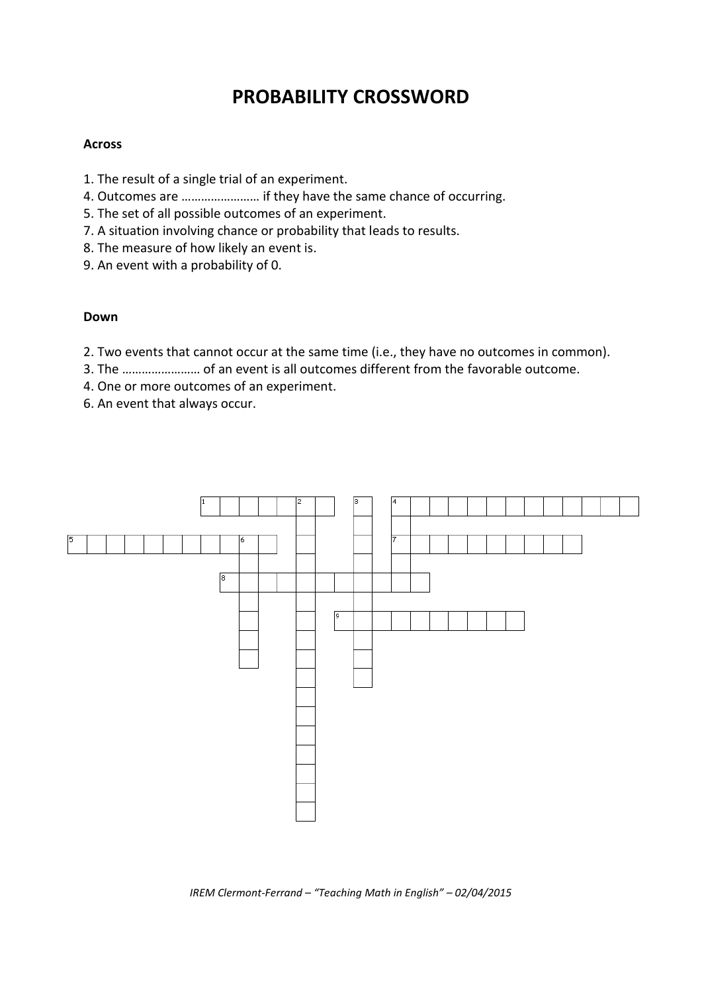## **PROBABILITY CROSSWORD**

## **Across**

- 1. The result of a single trial of an experiment.
- 4. Outcomes are …………………… if they have the same chance of occurring.
- 5. The set of all possible outcomes of an experiment.
- 7. A situation involving chance or probability that leads to results.
- 8. The measure of how likely an event is.
- 9. An event with a probability of 0.

## **Down**

- 2. Two events that cannot occur at the same time (i.e., they have no outcomes in common).
- 3. The …………………… of an event is all outcomes different from the favorable outcome.
- 4. One or more outcomes of an experiment.
- 6. An event that always occur.